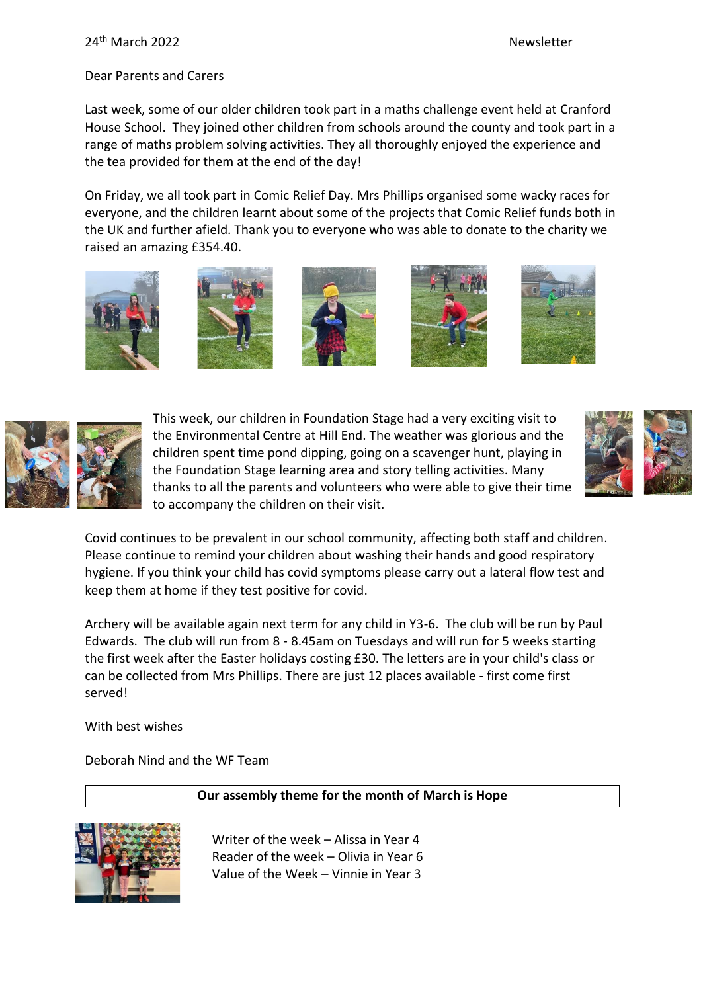Dear Parents and Carers

Last week, some of our older children took part in a maths challenge event held at Cranford House School. They joined other children from schools around the county and took part in a range of maths problem solving activities. They all thoroughly enjoyed the experience and the tea provided for them at the end of the day!

On Friday, we all took part in Comic Relief Day. Mrs Phillips organised some wacky races for everyone, and the children learnt about some of the projects that Comic Relief funds both in the UK and further afield. Thank you to everyone who was able to donate to the charity we raised an amazing £354.40.















This week, our children in Foundation Stage had a very exciting visit to the Environmental Centre at Hill End. The weather was glorious and the children spent time pond dipping, going on a scavenger hunt, playing in the Foundation Stage learning area and story telling activities. Many thanks to all the parents and volunteers who were able to give their time to accompany the children on their visit.

Covid continues to be prevalent in our school community, affecting both staff and children. Please continue to remind your children about washing their hands and good respiratory hygiene. If you think your child has covid symptoms please carry out a lateral flow test and keep them at home if they test positive for covid.

Archery will be available again next term for any child in Y3-6. The club will be run by Paul Edwards. The club will run from 8 - 8.45am on Tuesdays and will run for 5 weeks starting the first week after the Easter holidays costing £30. The letters are in your child's class or can be collected from Mrs Phillips. There are just 12 places available - first come first served!

With best wishes

Deborah Nind and the WF Team

### **Our assembly theme for the month of March is Hope**



Writer of the week – Alissa in Year 4 Reader of the week – Olivia in Year 6 Value of the Week – Vinnie in Year 3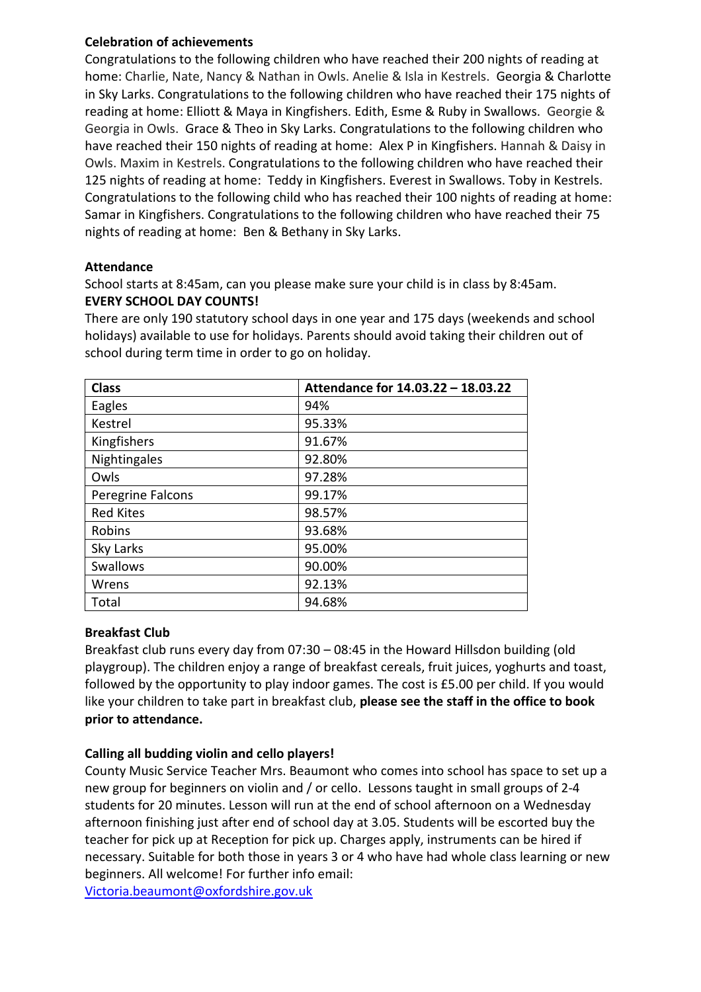### **Celebration of achievements**

Congratulations to the following children who have reached their 200 nights of reading at home: Charlie, Nate, Nancy & Nathan in Owls. Anelie & Isla in Kestrels. Georgia & Charlotte in Sky Larks. Congratulations to the following children who have reached their 175 nights of reading at home: Elliott & Maya in Kingfishers. Edith, Esme & Ruby in Swallows. Georgie & Georgia in Owls. Grace & Theo in Sky Larks. Congratulations to the following children who have reached their 150 nights of reading at home: Alex P in Kingfishers. Hannah & Daisy in Owls. Maxim in Kestrels. Congratulations to the following children who have reached their 125 nights of reading at home: Teddy in Kingfishers. Everest in Swallows. Toby in Kestrels. Congratulations to the following child who has reached their 100 nights of reading at home: Samar in Kingfishers. Congratulations to the following children who have reached their 75 nights of reading at home: Ben & Bethany in Sky Larks.

#### **Attendance**

School starts at 8:45am, can you please make sure your child is in class by 8:45am. **EVERY SCHOOL DAY COUNTS!**

There are only 190 statutory school days in one year and 175 days (weekends and school holidays) available to use for holidays. Parents should avoid taking their children out of school during term time in order to go on holiday.

| <b>Class</b>      | Attendance for 14.03.22 - 18.03.22 |
|-------------------|------------------------------------|
| Eagles            | 94%                                |
| Kestrel           | 95.33%                             |
| Kingfishers       | 91.67%                             |
| Nightingales      | 92.80%                             |
| Owls              | 97.28%                             |
| Peregrine Falcons | 99.17%                             |
| <b>Red Kites</b>  | 98.57%                             |
| Robins            | 93.68%                             |
| Sky Larks         | 95.00%                             |
| Swallows          | 90.00%                             |
| Wrens             | 92.13%                             |
| Total             | 94.68%                             |

### **Breakfast Club**

Breakfast club runs every day from 07:30 – 08:45 in the Howard Hillsdon building (old playgroup). The children enjoy a range of breakfast cereals, fruit juices, yoghurts and toast, followed by the opportunity to play indoor games. The cost is £5.00 per child. If you would like your children to take part in breakfast club, **please see the staff in the office to book prior to attendance.**

### **Calling all budding violin and cello players!**

County Music Service Teacher Mrs. Beaumont who comes into school has space to set up a new group for beginners on violin and / or cello. Lessons taught in small groups of 2-4 students for 20 minutes. Lesson will run at the end of school afternoon on a Wednesday afternoon finishing just after end of school day at 3.05. Students will be escorted buy the teacher for pick up at Reception for pick up. Charges apply, instruments can be hired if necessary. Suitable for both those in years 3 or 4 who have had whole class learning or new beginners. All welcome! For further info email: [Victoria.beaumont@oxfordshire.gov.uk](mailto:Victoria.beaumont@oxfordshire.gov.uk)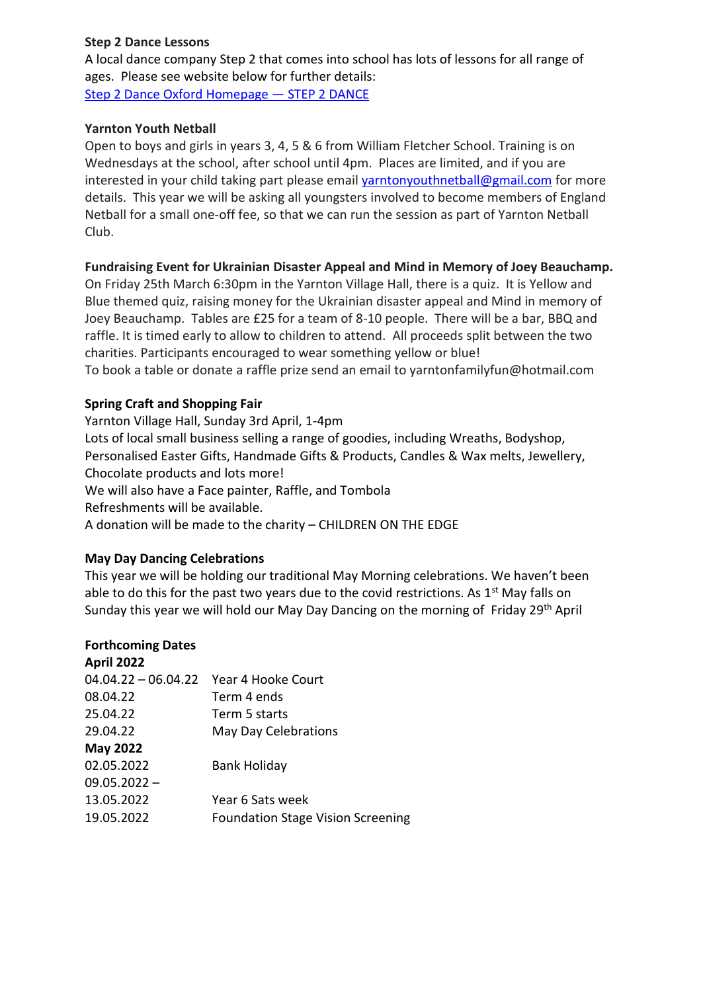### **Step 2 Dance Lessons**

A local dance company Step 2 that comes into school has lots of lessons for all range of ages. Please see website below for further details: [Step 2 Dance Oxford Homepage](https://www.step2dance.co.uk/home) — STEP 2 DANCE

#### **Yarnton Youth Netball**

Open to boys and girls in years 3, 4, 5 & 6 from William Fletcher School. Training is on Wednesdays at the school, after school until 4pm. Places are limited, and if you are interested in your child taking part please email [yarntonyouthnetball@gmail.com](mailto:yarntonyouthnetball@gmail.com) for more details. This year we will be asking all youngsters involved to become members of England Netball for a small one-off fee, so that we can run the session as part of Yarnton Netball Club.

#### **Fundraising Event for Ukrainian Disaster Appeal and Mind in Memory of Joey Beauchamp.**

On Friday 25th March 6:30pm in the Yarnton Village Hall, there is a quiz. It is Yellow and Blue themed quiz, raising money for the Ukrainian disaster appeal and Mind in memory of Joey Beauchamp. Tables are £25 for a team of 8-10 people. There will be a bar, BBQ and raffle. It is timed early to allow to children to attend. All proceeds split between the two charities. Participants encouraged to wear something yellow or blue! To book a table or donate a raffle prize send an email to yarntonfamilyfun@hotmail.com

### **Spring Craft and Shopping Fair**

Yarnton Village Hall, Sunday 3rd April, 1-4pm Lots of local small business selling a range of goodies, including Wreaths, Bodyshop, Personalised Easter Gifts, Handmade Gifts & Products, Candles & Wax melts, Jewellery, Chocolate products and lots more! We will also have a Face painter, Raffle, and Tombola Refreshments will be available. A donation will be made to the charity – CHILDREN ON THE EDGE

### **May Day Dancing Celebrations**

This year we will be holding our traditional May Morning celebrations. We haven't been able to do this for the past two years due to the covid restrictions. As  $1<sup>st</sup>$  May falls on Sunday this year we will hold our May Day Dancing on the morning of Friday 29th April

### **Forthcoming Dates**

| <b>April 2022</b>     |                                          |
|-----------------------|------------------------------------------|
| $04.04.22 - 06.04.22$ | Year 4 Hooke Court                       |
| 08.04.22              | Term 4 ends                              |
| 25.04.22              | Term 5 starts                            |
| 29.04.22              | May Day Celebrations                     |
| <b>May 2022</b>       |                                          |
| 02.05.2022            | <b>Bank Holiday</b>                      |
| $09.05.2022 -$        |                                          |
| 13.05.2022            | Year 6 Sats week                         |
| 19.05.2022            | <b>Foundation Stage Vision Screening</b> |